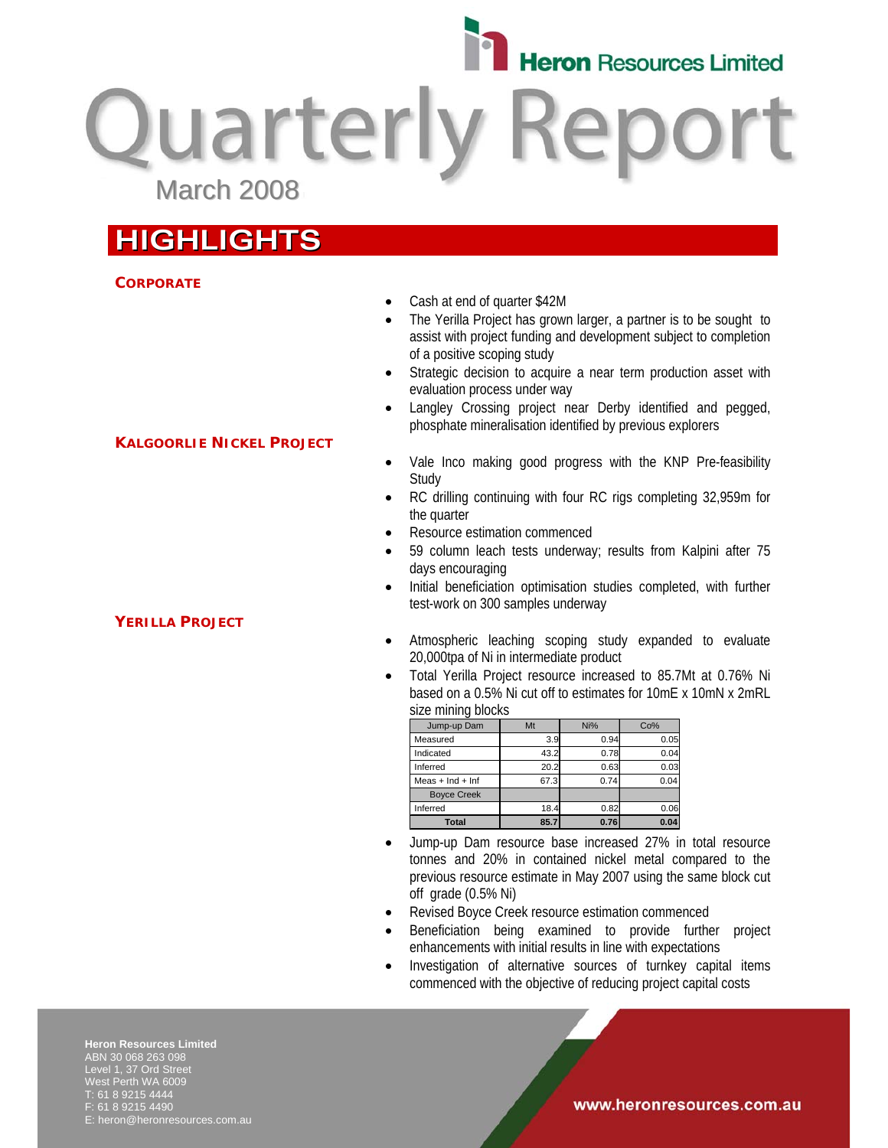

**Quarterly Repo** March 2008

# **HIGHLIGHTS**

**KALGOORLIE NICKEL PROJECT**

# **CORPORATE**

- Cash at end of quarter \$42M
- The Yerilla Project has grown larger, a partner is to be sought to assist with project funding and development subject to completion of a positive scoping study
- Strategic decision to acquire a near term production asset with evaluation process under way
- Langley Crossing project near Derby identified and pegged, phosphate mineralisation identified by previous explorers
- Vale Inco making good progress with the KNP Pre-feasibility **Study**
- RC drilling continuing with four RC rigs completing 32,959m for the quarter
- Resource estimation commenced
- 59 column leach tests underway; results from Kalpini after 75 days encouraging
- Initial beneficiation optimisation studies completed, with further test-work on 300 samples underway
- Atmospheric leaching scoping study expanded to evaluate 20,000tpa of Ni in intermediate product
- Total Yerilla Project resource increased to 85.7Mt at 0.76% Ni based on a 0.5% Ni cut off to estimates for 10mE x 10mN x 2mRL size mining blocks

| Jump-up Dam          | Mt   | Ni%  | Co%  |
|----------------------|------|------|------|
| Measured             | 3.9  | 0.94 | 0.05 |
| Indicated            | 43.2 | 0.78 | 0.04 |
| Inferred             | 20.2 | 0.63 | 0.03 |
| Meas $+$ Ind $+$ Inf | 67.3 | 0.74 | 0.04 |
| <b>Boyce Creek</b>   |      |      |      |
| Inferred             | 18.4 | 0.82 | 0.06 |
| <b>Total</b>         | 85.7 | 0.76 | 0.04 |

- Jump-up Dam resource base increased 27% in total resource tonnes and 20% in contained nickel metal compared to the previous resource estimate in May 2007 using the same block cut off grade (0.5% Ni)
- Revised Boyce Creek resource estimation commenced
- Beneficiation being examined to provide further project enhancements with initial results in line with expectations
- Investigation of alternative sources of turnkey capital items commenced with the objective of reducing project capital costs

**Heron Resources Limited**  ABN 30 068 263 098 Level 1, 37 Ord Street West Perth WA 6009 T: 61 8 9215 4444 F: 61 8 9215 4490 E: heron@heronresources.com.au

# **YERILLA PROJECT**

www.heronresources.com.au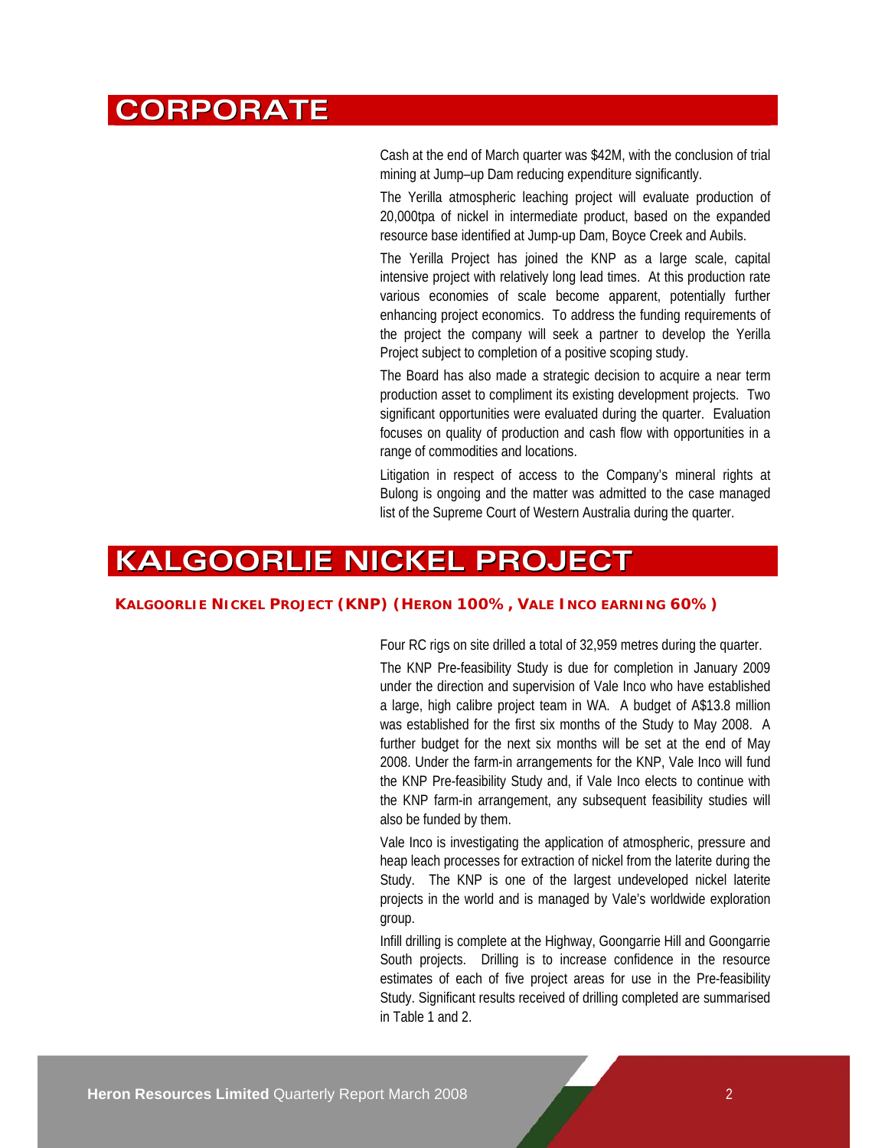# **CORPORATE**

Cash at the end of March quarter was \$42M, with the conclusion of trial mining at Jump–up Dam reducing expenditure significantly.

The Yerilla atmospheric leaching project will evaluate production of 20,000tpa of nickel in intermediate product, based on the expanded resource base identified at Jump-up Dam, Boyce Creek and Aubils.

The Yerilla Project has joined the KNP as a large scale, capital intensive project with relatively long lead times. At this production rate various economies of scale become apparent, potentially further enhancing project economics. To address the funding requirements of the project the company will seek a partner to develop the Yerilla Project subject to completion of a positive scoping study.

The Board has also made a strategic decision to acquire a near term production asset to compliment its existing development projects. Two significant opportunities were evaluated during the quarter. Evaluation focuses on quality of production and cash flow with opportunities in a range of commodities and locations.

Litigation in respect of access to the Company's mineral rights at Bulong is ongoing and the matter was admitted to the case managed list of the Supreme Court of Western Australia during the quarter.

# **KALGOORLIE NICKEL PROJECT**

# **KALGOORLIE NICKEL PROJECT (KNP) (HERON 100%, VALE INCO EARNING 60%)**

Four RC rigs on site drilled a total of 32,959 metres during the quarter.

The KNP Pre-feasibility Study is due for completion in January 2009 under the direction and supervision of Vale Inco who have established a large, high calibre project team in WA. A budget of A\$13.8 million was established for the first six months of the Study to May 2008. A further budget for the next six months will be set at the end of May 2008. Under the farm-in arrangements for the KNP, Vale Inco will fund the KNP Pre-feasibility Study and, if Vale Inco elects to continue with the KNP farm-in arrangement, any subsequent feasibility studies will also be funded by them.

Vale Inco is investigating the application of atmospheric, pressure and heap leach processes for extraction of nickel from the laterite during the Study. The KNP is one of the largest undeveloped nickel laterite projects in the world and is managed by Vale's worldwide exploration group.

Infill drilling is complete at the Highway, Goongarrie Hill and Goongarrie South projects. Drilling is to increase confidence in the resource estimates of each of five project areas for use in the Pre-feasibility Study. Significant results received of drilling completed are summarised in Table 1 and 2.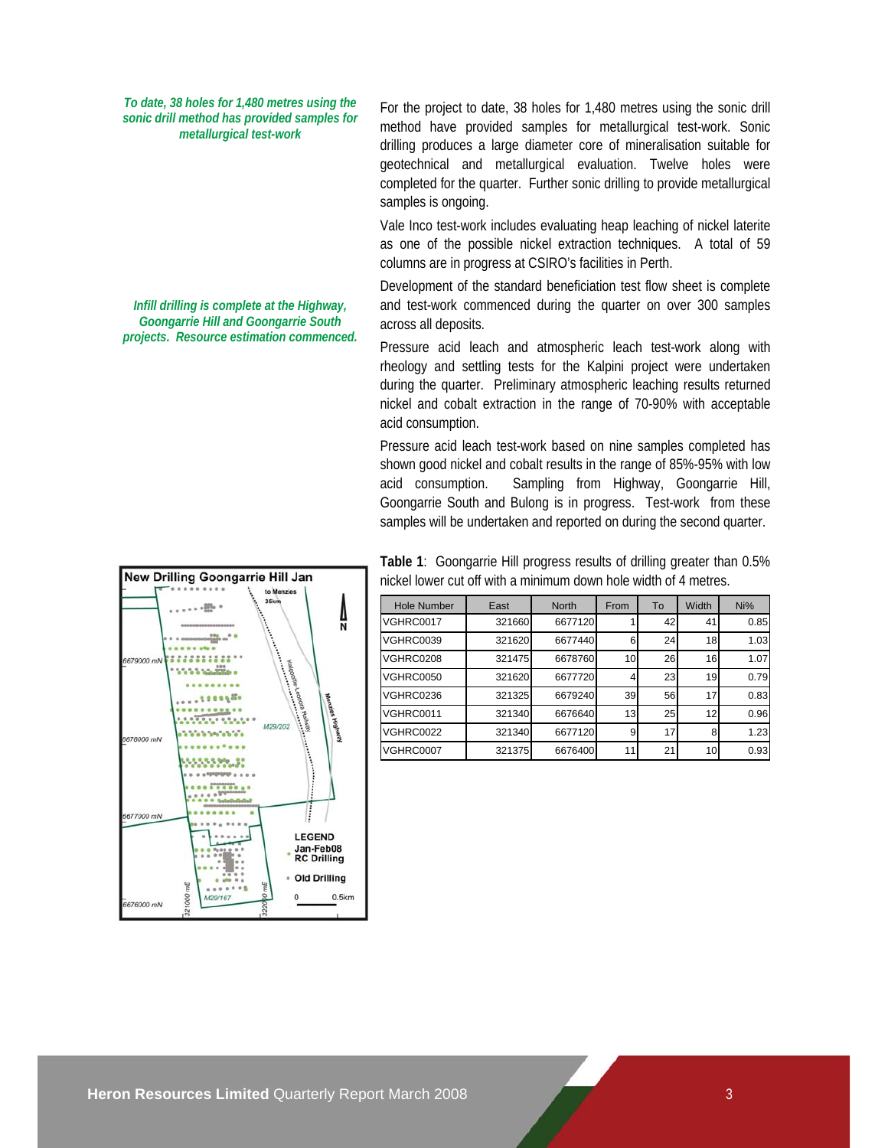*To date, 38 holes for 1,480 metres using the sonic drill method has provided samples for metallurgical test-work* 

*Infill drilling is complete at the Highway, Goongarrie Hill and Goongarrie South projects. Resource estimation commenced.*  For the project to date, 38 holes for 1,480 metres using the sonic drill method have provided samples for metallurgical test-work. Sonic drilling produces a large diameter core of mineralisation suitable for geotechnical and metallurgical evaluation. Twelve holes were completed for the quarter. Further sonic drilling to provide metallurgical samples is ongoing.

Vale Inco test-work includes evaluating heap leaching of nickel laterite as one of the possible nickel extraction techniques. A total of 59 columns are in progress at CSIRO's facilities in Perth.

Development of the standard beneficiation test flow sheet is complete and test-work commenced during the quarter on over 300 samples across all deposits.

Pressure acid leach and atmospheric leach test-work along with rheology and settling tests for the Kalpini project were undertaken during the quarter. Preliminary atmospheric leaching results returned nickel and cobalt extraction in the range of 70-90% with acceptable acid consumption.

Pressure acid leach test-work based on nine samples completed has shown good nickel and cobalt results in the range of 85%-95% with low acid consumption. Sampling from Highway, Goongarrie Hill, Goongarrie South and Bulong is in progress. Test-work from these samples will be undertaken and reported on during the second quarter.

**Table 1**: Goongarrie Hill progress results of drilling greater than 0.5% nickel lower cut off with a minimum down hole width of 4 metres.

| <b>Hole Number</b> | East   | <b>North</b> | From | To | Width | Ni%  |
|--------------------|--------|--------------|------|----|-------|------|
| VGHRC0017          | 321660 | 6677120      |      | 42 | 41    | 0.85 |
| <b>VGHRC0039</b>   | 321620 | 6677440      | 6    | 24 | 18    | 1.03 |
| VGHRC0208          | 321475 | 6678760      | 10   | 26 | 16    | 1.07 |
| <b>VGHRC0050</b>   | 321620 | 6677720      |      | 23 | 19    | 0.79 |
| VGHRC0236          | 321325 | 6679240      | 39   | 56 | 17    | 0.83 |
| VGHRC0011          | 321340 | 6676640      | 13   | 25 | 12    | 0.96 |
| <b>VGHRC0022</b>   | 321340 | 6677120      | 9    | 17 | 8     | 1.23 |
| <b>VGHRC0007</b>   | 321375 | 6676400      | 11   | 21 | 10    | 0.93 |

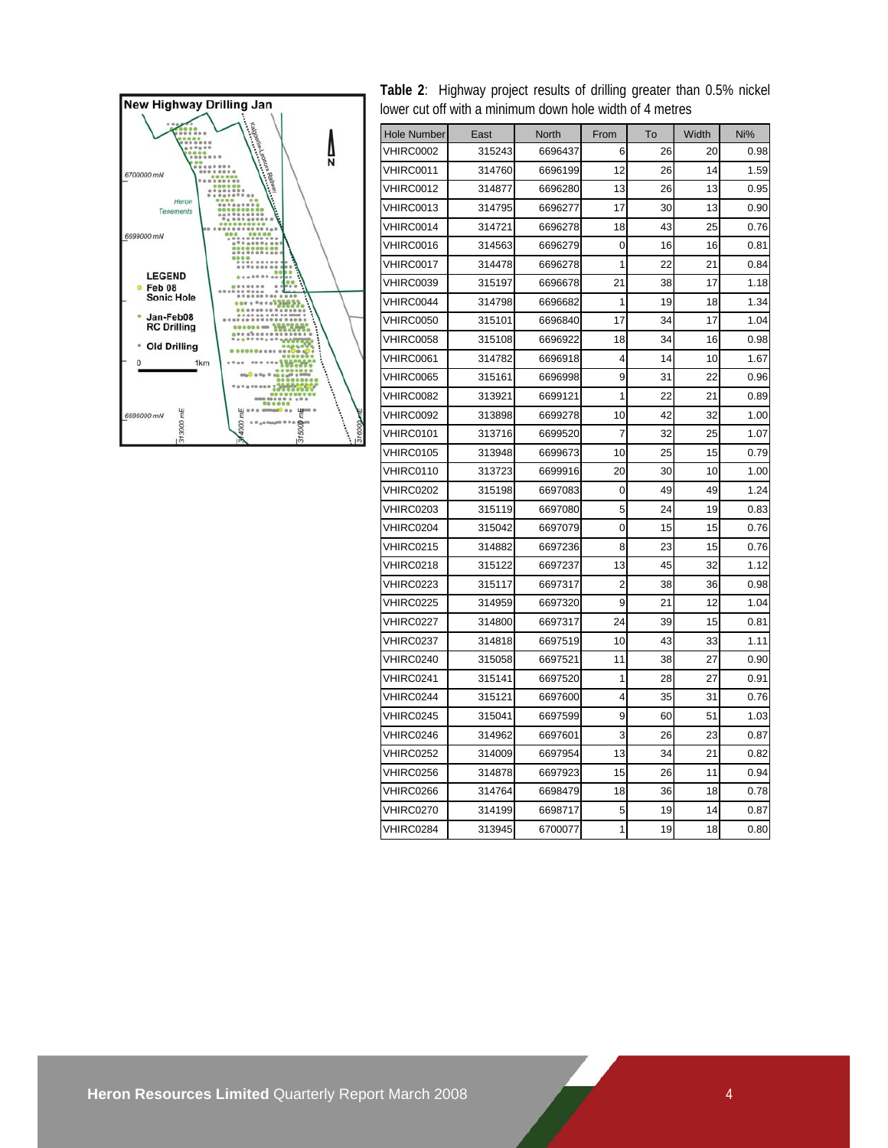

**Table 2**: Highway project results of drilling greater than 0.5% nickel lower cut off with a minimum down hole width of 4 metres

| <b>Hole Number</b> | East   | North   | From           | To | Width | Ni%  |
|--------------------|--------|---------|----------------|----|-------|------|
| VHIRC0002          | 315243 | 6696437 | 6              | 26 | 20    | 0.98 |
| VHIRC0011          | 314760 | 6696199 | 12             | 26 | 14    | 1.59 |
| VHIRC0012          | 314877 | 6696280 | 13             | 26 | 13    | 0.95 |
| VHIRC0013          | 314795 | 6696277 | 17             | 30 | 13    | 0.90 |
| VHIRC0014          | 314721 | 6696278 | 18             | 43 | 25    | 0.76 |
| VHIRC0016          | 314563 | 6696279 | 0              | 16 | 16    | 0.81 |
| VHIRC0017          | 314478 | 6696278 | 1              | 22 | 21    | 0.84 |
| VHIRC0039          | 315197 | 6696678 | 21             | 38 | 17    | 1.18 |
| VHIRC0044          | 314798 | 6696682 | 1              | 19 | 18    | 1.34 |
| <b>VHIRC0050</b>   | 315101 | 6696840 | 17             | 34 | 17    | 1.04 |
| <b>VHIRC0058</b>   | 315108 | 6696922 | 18             | 34 | 16    | 0.98 |
| VHIRC0061          | 314782 | 6696918 | 4              | 14 | 10    | 1.67 |
| VHIRC0065          | 315161 | 6696998 | 9              | 31 | 22    | 0.96 |
| VHIRC0082          | 313921 | 6699121 | 1              | 22 | 21    | 0.89 |
| VHIRC0092          | 313898 | 6699278 | 10             | 42 | 32    | 1.00 |
| VHIRC0101          | 313716 | 6699520 | $\overline{7}$ | 32 | 25    | 1.07 |
| VHIRC0105          | 313948 | 6699673 | 10             | 25 | 15    | 0.79 |
| VHIRC0110          | 313723 | 6699916 | 20             | 30 | 10    | 1.00 |
| VHIRC0202          | 315198 | 6697083 | 0              | 49 | 49    | 1.24 |
| VHIRC0203          | 315119 | 6697080 | 5              | 24 | 19    | 0.83 |
| VHIRC0204          | 315042 | 6697079 | 0              | 15 | 15    | 0.76 |
| VHIRC0215          | 314882 | 6697236 | 8              | 23 | 15    | 0.76 |
| VHIRC0218          | 315122 | 6697237 | 13             | 45 | 32    | 1.12 |
| VHIRC0223          | 315117 | 6697317 | $\overline{2}$ | 38 | 36    | 0.98 |
| VHIRC0225          | 314959 | 6697320 | 9              | 21 | 12    | 1.04 |
| VHIRC0227          | 314800 | 6697317 | 24             | 39 | 15    | 0.81 |
| VHIRC0237          | 314818 | 6697519 | 10             | 43 | 33    | 1.11 |
| VHIRC0240          | 315058 | 6697521 | 11             | 38 | 27    | 0.90 |
| VHIRC0241          | 315141 | 6697520 | 1              | 28 | 27    | 0.91 |
| VHIRC0244          | 315121 | 6697600 | 4              | 35 | 31    | 0.76 |
| VHIRC0245          | 315041 | 6697599 | 9              | 60 | 51    | 1.03 |
| VHIRC0246          | 314962 | 6697601 | 3              | 26 | 23    | 0.87 |
| VHIRC0252          | 314009 | 6697954 | 13             | 34 | 21    | 0.82 |
| VHIRC0256          | 314878 | 6697923 | 15             | 26 | 11    | 0.94 |
| VHIRC0266          | 314764 | 6698479 | 18             | 36 | 18    | 0.78 |
| VHIRC0270          | 314199 | 6698717 | 5              | 19 | 14    | 0.87 |
| VHIRC0284          | 313945 | 6700077 | 1              | 19 | 18    | 0.80 |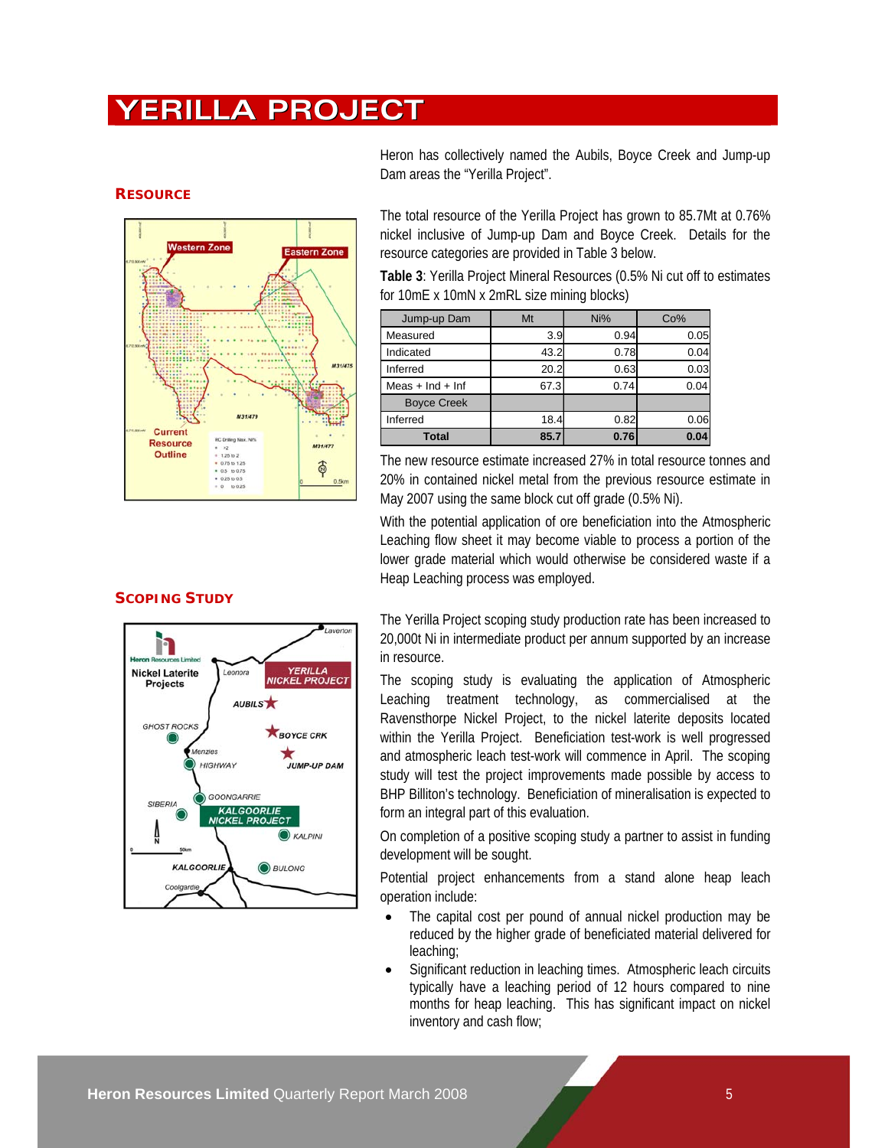# **YERILLA PROJECT**



#### **RESOURCE**

### **SCOPING STUDY**



Heron has collectively named the Aubils, Boyce Creek and Jump-up Dam areas the "Yerilla Project".

The total resource of the Yerilla Project has grown to 85.7Mt at 0.76% nickel inclusive of Jump-up Dam and Boyce Creek. Details for the resource categories are provided in Table 3 below.

**Table 3**: Yerilla Project Mineral Resources (0.5% Ni cut off to estimates for 10mE x 10mN x 2mRL size mining blocks)

| Jump-up Dam          | Mt   | Ni%  | Co%  |
|----------------------|------|------|------|
| Measured             | 3.9  | 0.94 | 0.05 |
| Indicated            | 43.2 | 0.78 | 0.04 |
| Inferred             | 20.2 | 0.63 | 0.03 |
| Meas $+$ Ind $+$ Inf | 67.3 | 0.74 | 0.04 |
| <b>Boyce Creek</b>   |      |      |      |
| Inferred             | 18.4 | 0.82 | 0.06 |
| <b>Total</b>         | 85.7 | 0.76 | 0.04 |

The new resource estimate increased 27% in total resource tonnes and 20% in contained nickel metal from the previous resource estimate in May 2007 using the same block cut off grade (0.5% Ni).

With the potential application of ore beneficiation into the Atmospheric Leaching flow sheet it may become viable to process a portion of the lower grade material which would otherwise be considered waste if a Heap Leaching process was employed.

The Yerilla Project scoping study production rate has been increased to 20,000t Ni in intermediate product per annum supported by an increase in resource.

The scoping study is evaluating the application of Atmospheric Leaching treatment technology, as commercialised at the Ravensthorpe Nickel Project, to the nickel laterite deposits located within the Yerilla Project. Beneficiation test-work is well progressed and atmospheric leach test-work will commence in April. The scoping study will test the project improvements made possible by access to BHP Billiton's technology. Beneficiation of mineralisation is expected to form an integral part of this evaluation.

On completion of a positive scoping study a partner to assist in funding development will be sought.

Potential project enhancements from a stand alone heap leach operation include:

- The capital cost per pound of annual nickel production may be reduced by the higher grade of beneficiated material delivered for leaching;
- Significant reduction in leaching times. Atmospheric leach circuits typically have a leaching period of 12 hours compared to nine months for heap leaching. This has significant impact on nickel inventory and cash flow;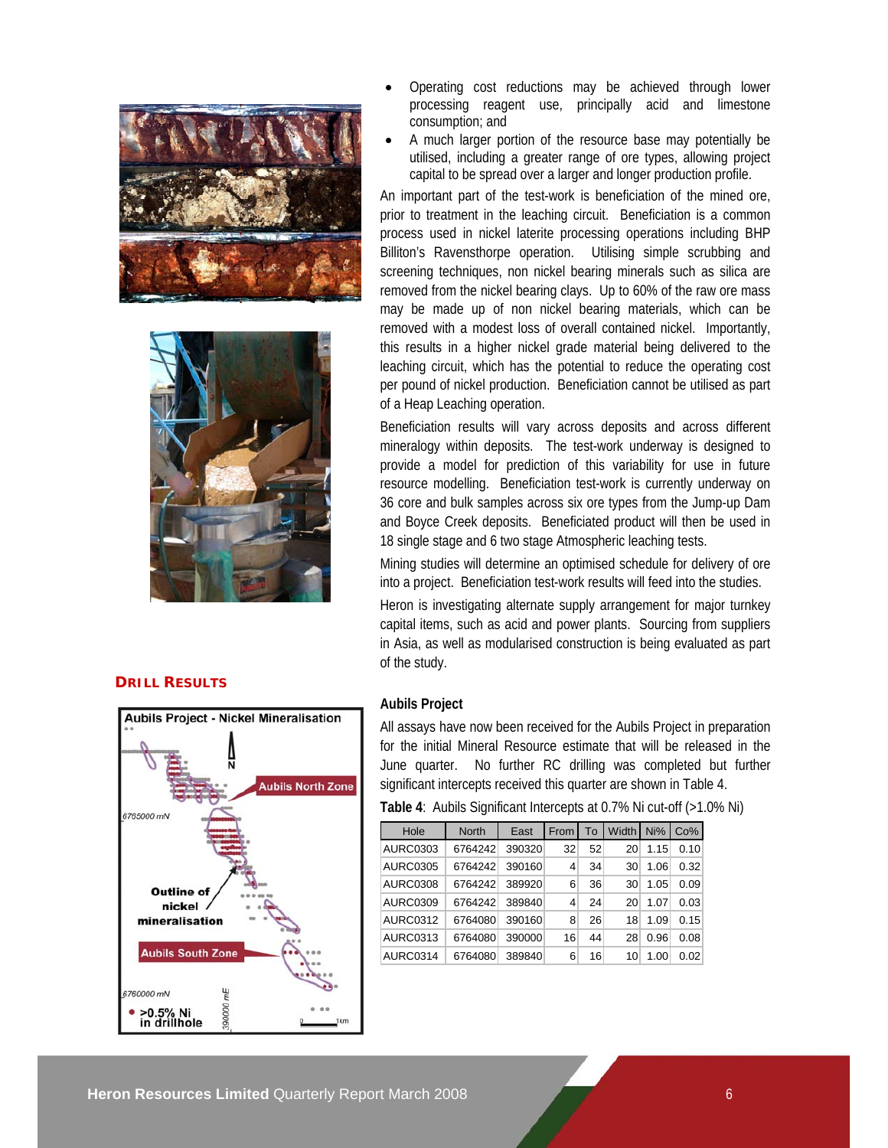



### **DRILL RESULTS**



- Operating cost reductions may be achieved through lower processing reagent use, principally acid and limestone consumption; and
- A much larger portion of the resource base may potentially be utilised, including a greater range of ore types, allowing project capital to be spread over a larger and longer production profile.

An important part of the test-work is beneficiation of the mined ore, prior to treatment in the leaching circuit. Beneficiation is a common process used in nickel laterite processing operations including BHP Billiton's Ravensthorpe operation. Utilising simple scrubbing and screening techniques, non nickel bearing minerals such as silica are removed from the nickel bearing clays. Up to 60% of the raw ore mass may be made up of non nickel bearing materials, which can be removed with a modest loss of overall contained nickel. Importantly, this results in a higher nickel grade material being delivered to the leaching circuit, which has the potential to reduce the operating cost per pound of nickel production. Beneficiation cannot be utilised as part of a Heap Leaching operation.

Beneficiation results will vary across deposits and across different mineralogy within deposits. The test-work underway is designed to provide a model for prediction of this variability for use in future resource modelling. Beneficiation test-work is currently underway on 36 core and bulk samples across six ore types from the Jump-up Dam and Boyce Creek deposits. Beneficiated product will then be used in 18 single stage and 6 two stage Atmospheric leaching tests.

Mining studies will determine an optimised schedule for delivery of ore into a project. Beneficiation test-work results will feed into the studies.

Heron is investigating alternate supply arrangement for major turnkey capital items, such as acid and power plants. Sourcing from suppliers in Asia, as well as modularised construction is being evaluated as part of the study.

#### **Aubils Project**

All assays have now been received for the Aubils Project in preparation for the initial Mineral Resource estimate that will be released in the June quarter. No further RC drilling was completed but further significant intercepts received this quarter are shown in Table 4.

**Table 4**: Aubils Significant Intercepts at 0.7% Ni cut-off (>1.0% Ni)

| Hole            | <b>North</b> | East   | From I |    | To Width Ni% Co% |      |      |
|-----------------|--------------|--------|--------|----|------------------|------|------|
| <b>AURC0303</b> | 6764242      | 390320 | 32     | 52 | 20               | 1.15 | 0.10 |
| AURC0305        | 6764242      | 390160 | 4      | 34 | 30               | 1.06 | 0.32 |
| <b>AURC0308</b> | 6764242      | 389920 | 6      | 36 | 30               | 1.05 | 0.09 |
| <b>AURC0309</b> | 6764242      | 389840 | 4      | 24 | 20               | 1.07 | 0.03 |
| <b>AURC0312</b> | 6764080      | 390160 | 8      | 26 | 18               | 1.09 | 0.15 |
| <b>AURC0313</b> | 6764080      | 390000 | 16     | 44 | 28               | 0.96 | 0.08 |
| AURC0314        | 6764080      | 389840 | 6      | 16 | 10               | 1.00 | 0.02 |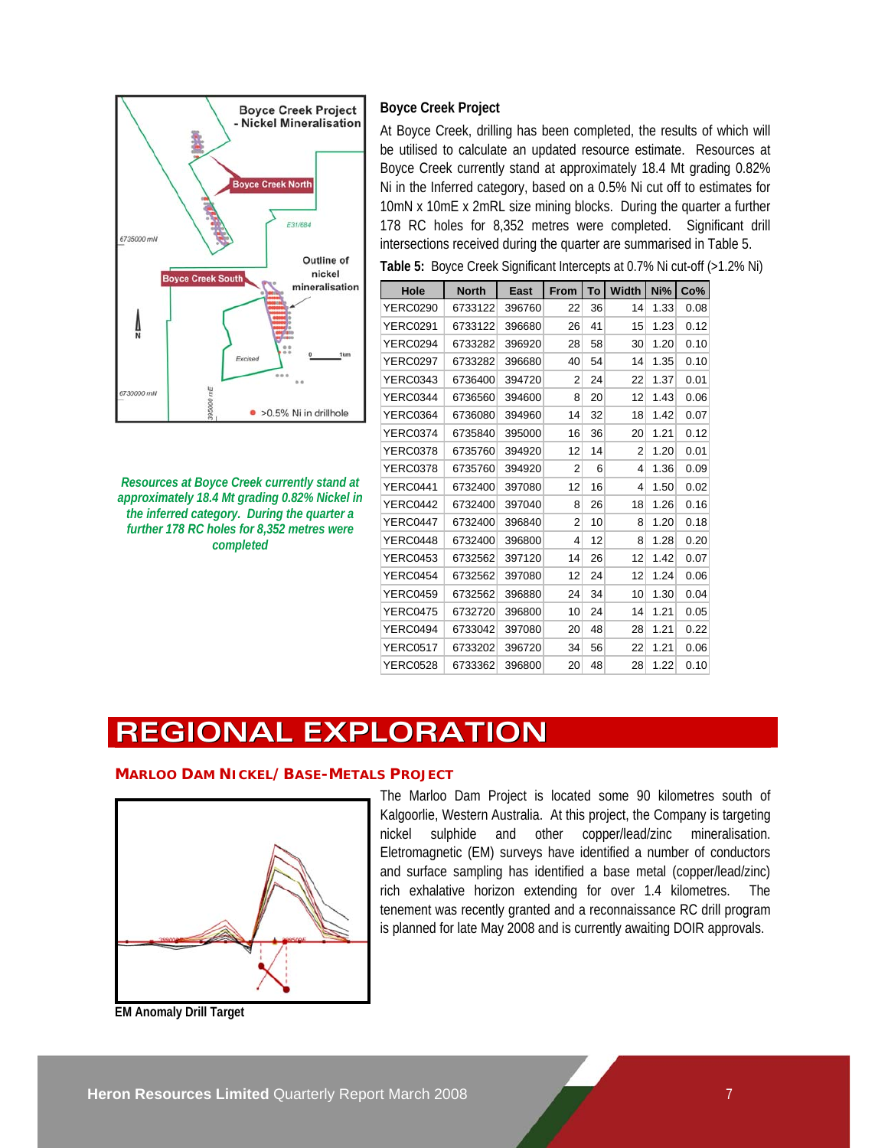

*Resources at Boyce Creek currently stand at approximately 18.4 Mt grading 0.82% Nickel in the inferred category. During the quarter a further 178 RC holes for 8,352 metres were completed* 

# **Boyce Creek Project**

At Boyce Creek, drilling has been completed, the results of which will be utilised to calculate an updated resource estimate. Resources at Boyce Creek currently stand at approximately 18.4 Mt grading 0.82% Ni in the Inferred category, based on a 0.5% Ni cut off to estimates for 10mN x 10mE x 2mRL size mining blocks. During the quarter a further 178 RC holes for 8,352 metres were completed. Significant drill intersections received during the quarter are summarised in Table 5.

| Hole            | <b>North</b> | East   | From | To | <b>Width</b> | Ni%  | Co%  |
|-----------------|--------------|--------|------|----|--------------|------|------|
| <b>YERC0290</b> | 6733122      | 396760 | 22   | 36 | 14           | 1.33 | 0.08 |
| <b>YERC0291</b> | 6733122      | 396680 | 26   | 41 | 15           | 1.23 | 0.12 |
| YERC0294        | 6733282      | 396920 | 28   | 58 | 30           | 1.20 | 0.10 |
| <b>YERC0297</b> | 6733282      | 396680 | 40   | 54 | 14           | 1.35 | 0.10 |
| <b>YERC0343</b> | 6736400      | 394720 | 2    | 24 | 22           | 1.37 | 0.01 |
| <b>YERC0344</b> | 6736560      | 394600 | 8    | 20 | 12           | 1.43 | 0.06 |
| <b>YERC0364</b> | 6736080      | 394960 | 14   | 32 | 18           | 1.42 | 0.07 |
| <b>YERC0374</b> | 6735840      | 395000 | 16   | 36 | 20           | 1.21 | 0.12 |
| <b>YERC0378</b> | 6735760      | 394920 | 12   | 14 | 2            | 1.20 | 0.01 |
| <b>YERC0378</b> | 6735760      | 394920 | 2    | 6  | 4            | 1.36 | 0.09 |
| YERC0441        | 6732400      | 397080 | 12   | 16 | 4            | 1.50 | 0.02 |
| YERC0442        | 6732400      | 397040 | 8    | 26 | 18           | 1.26 | 0.16 |
| YERC0447        | 6732400      | 396840 | 2    | 10 | 8            | 1.20 | 0.18 |
| YERC0448        | 6732400      | 396800 | 4    | 12 | 8            | 1.28 | 0.20 |
| <b>YERC0453</b> | 6732562      | 397120 | 14   | 26 | 12           | 1.42 | 0.07 |
| YERC0454        | 6732562      | 397080 | 12   | 24 | 12           | 1.24 | 0.06 |
| <b>YERC0459</b> | 6732562      | 396880 | 24   | 34 | 10           | 1.30 | 0.04 |
| <b>YERC0475</b> | 6732720      | 396800 | 10   | 24 | 14           | 1.21 | 0.05 |
| YERC0494        | 6733042      | 397080 | 20   | 48 | 28           | 1.21 | 0.22 |
| <b>YERC0517</b> | 6733202      | 396720 | 34   | 56 | 22           | 1.21 | 0.06 |
| <b>YERC0528</b> | 6733362      | 396800 | 20   | 48 | 28           | 1.22 | 0.10 |

**Table 5:** Boyce Creek Significant Intercepts at 0.7% Ni cut-off (>1.2% Ni)

# **REGIONAL EXPLORATION**

# **MARLOO DAM NICKEL/BASE-METALS PROJECT**



The Marloo Dam Project is located some 90 kilometres south of Kalgoorlie, Western Australia. At this project, the Company is targeting nickel sulphide and other copper/lead/zinc mineralisation. Eletromagnetic (EM) surveys have identified a number of conductors and surface sampling has identified a base metal (copper/lead/zinc) rich exhalative horizon extending for over 1.4 kilometres. The tenement was recently granted and a reconnaissance RC drill program is planned for late May 2008 and is currently awaiting DOIR approvals.

**EM Anomaly Drill Target**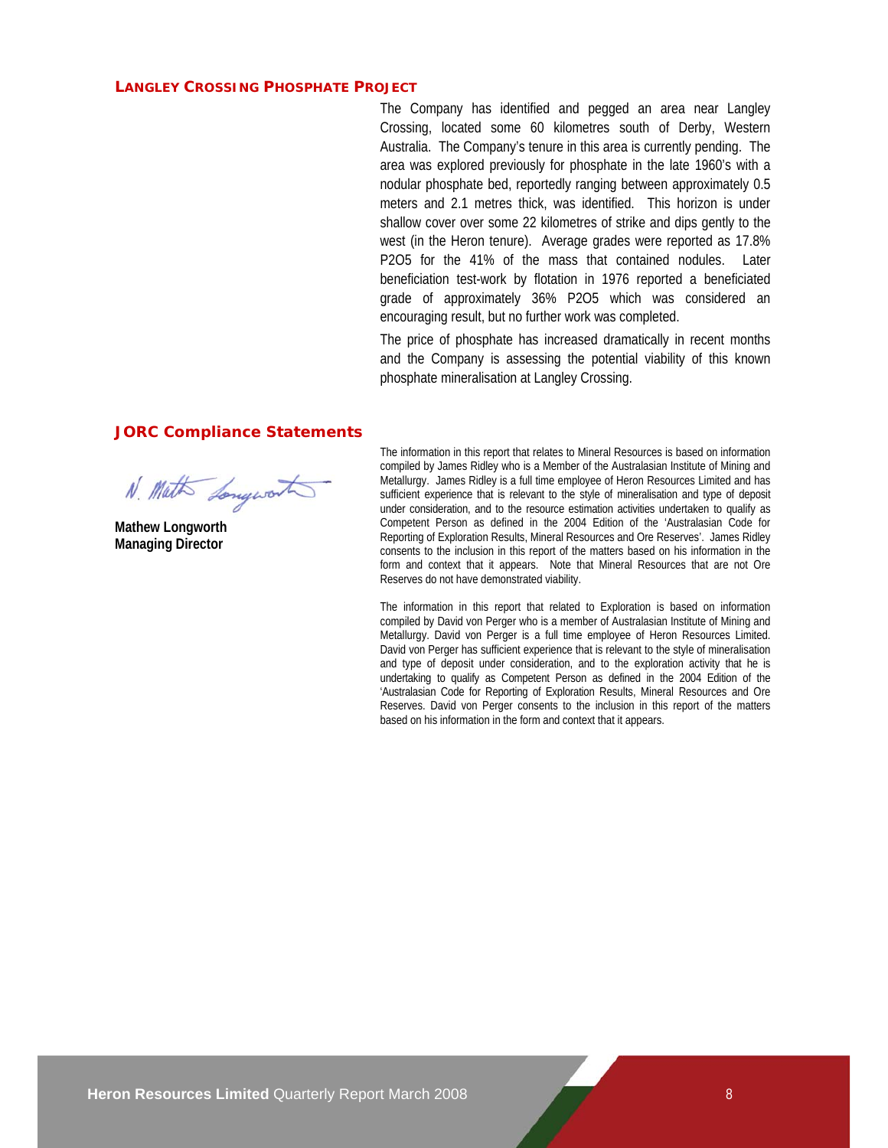#### **LANGLEY CROSSING PHOSPHATE PROJECT**

The Company has identified and pegged an area near Langley Crossing, located some 60 kilometres south of Derby, Western Australia. The Company's tenure in this area is currently pending. The area was explored previously for phosphate in the late 1960's with a nodular phosphate bed, reportedly ranging between approximately 0.5 meters and 2.1 metres thick, was identified. This horizon is under shallow cover over some 22 kilometres of strike and dips gently to the west (in the Heron tenure). Average grades were reported as 17.8% P2O5 for the 41% of the mass that contained nodules. Later beneficiation test-work by flotation in 1976 reported a beneficiated grade of approximately 36% P2O5 which was considered an encouraging result, but no further work was completed.

The price of phosphate has increased dramatically in recent months and the Company is assessing the potential viability of this known phosphate mineralisation at Langley Crossing.

#### **JORC Compliance Statements**

N. Math Longwort

**Mathew Longworth Managing Director** 

The information in this report that relates to Mineral Resources is based on information compiled by James Ridley who is a Member of the Australasian Institute of Mining and Metallurgy. James Ridley is a full time employee of Heron Resources Limited and has sufficient experience that is relevant to the style of mineralisation and type of deposit under consideration, and to the resource estimation activities undertaken to qualify as Competent Person as defined in the 2004 Edition of the 'Australasian Code for Reporting of Exploration Results, Mineral Resources and Ore Reserves'. James Ridley consents to the inclusion in this report of the matters based on his information in the form and context that it appears. Note that Mineral Resources that are not Ore Reserves do not have demonstrated viability.

The information in this report that related to Exploration is based on information compiled by David von Perger who is a member of Australasian Institute of Mining and Metallurgy. David von Perger is a full time employee of Heron Resources Limited. David von Perger has sufficient experience that is relevant to the style of mineralisation and type of deposit under consideration, and to the exploration activity that he is undertaking to qualify as Competent Person as defined in the 2004 Edition of the 'Australasian Code for Reporting of Exploration Results, Mineral Resources and Ore Reserves. David von Perger consents to the inclusion in this report of the matters based on his information in the form and context that it appears.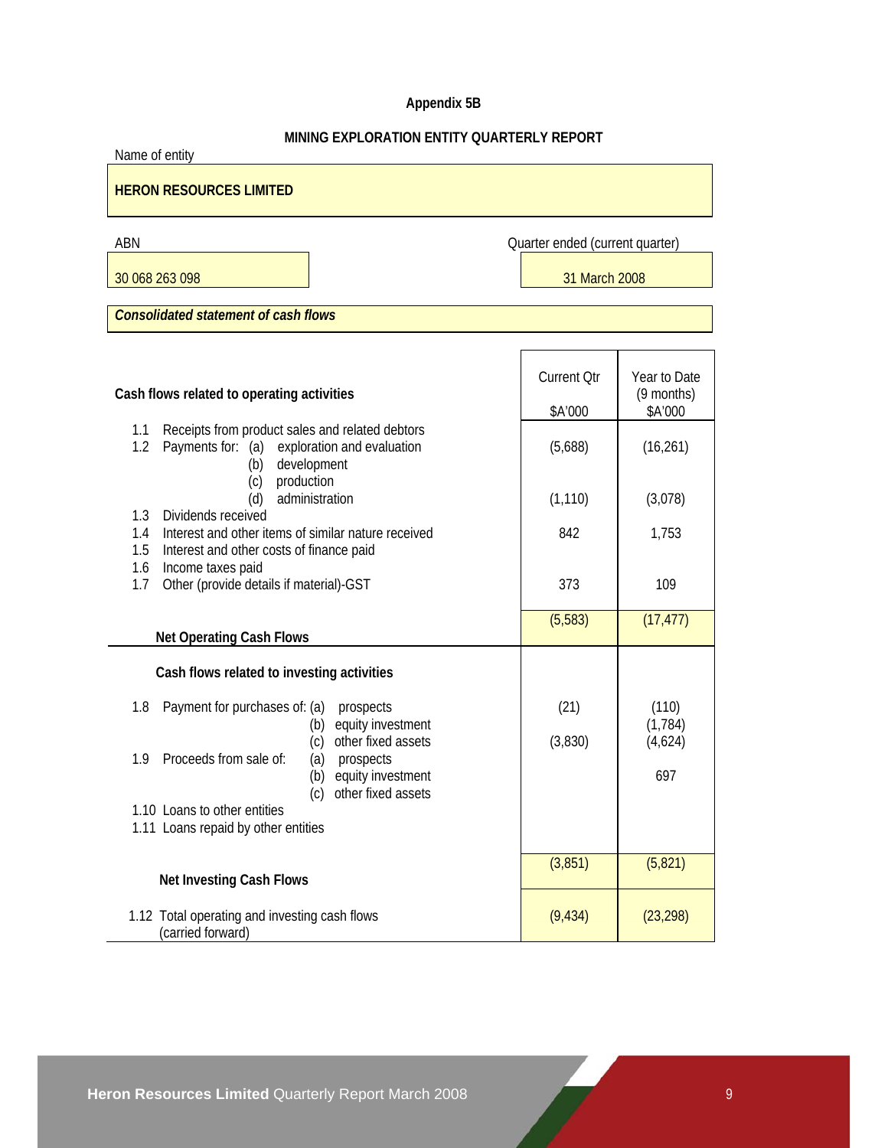# **Appendix 5B**

# **MINING EXPLORATION ENTITY QUARTERLY REPORT**

Name of entity

# **HERON RESOURCES LIMITED**

ABN Quarter ended (current quarter)

30 068 263 098 31 March 2008

*Consolidated statement of cash flows* 

| Cash flows related to operating activities                                                                                                 | <b>Current Qtr</b><br>\$A'000 | Year to Date<br>(9 months)<br>\$A'000 |
|--------------------------------------------------------------------------------------------------------------------------------------------|-------------------------------|---------------------------------------|
| Receipts from product sales and related debtors<br>1.1<br>1.2<br>Payments for: (a)<br>exploration and evaluation<br>development<br>(b)     | (5,688)                       | (16, 261)                             |
| production<br>(c)<br>administration<br>(d)<br>Dividends received<br>1.3                                                                    | (1, 110)                      | (3,078)                               |
| Interest and other items of similar nature received<br>1.4<br>1.5<br>Interest and other costs of finance paid                              | 842                           | 1,753                                 |
| 1.6<br>Income taxes paid<br>Other (provide details if material)-GST<br>1.7                                                                 | 373                           | 109                                   |
| <b>Net Operating Cash Flows</b>                                                                                                            | (5,583)                       | (17, 477)                             |
| Cash flows related to investing activities                                                                                                 |                               |                                       |
| 1.8<br>Payment for purchases of: (a)<br>prospects<br>equity investment<br>(b)<br>other fixed assets<br>(c)                                 | (21)<br>(3,830)               | (110)<br>(1,784)<br>(4,624)           |
| Proceeds from sale of:<br>1.9<br>(a)<br>prospects<br>equity investment<br>(b)<br>other fixed assets<br>(c)<br>1.10 Loans to other entities |                               | 697                                   |
| 1.11 Loans repaid by other entities                                                                                                        |                               |                                       |
| <b>Net Investing Cash Flows</b>                                                                                                            | (3,851)                       | (5, 821)                              |
| 1.12 Total operating and investing cash flows<br>(carried forward)                                                                         | (9, 434)                      | (23, 298)                             |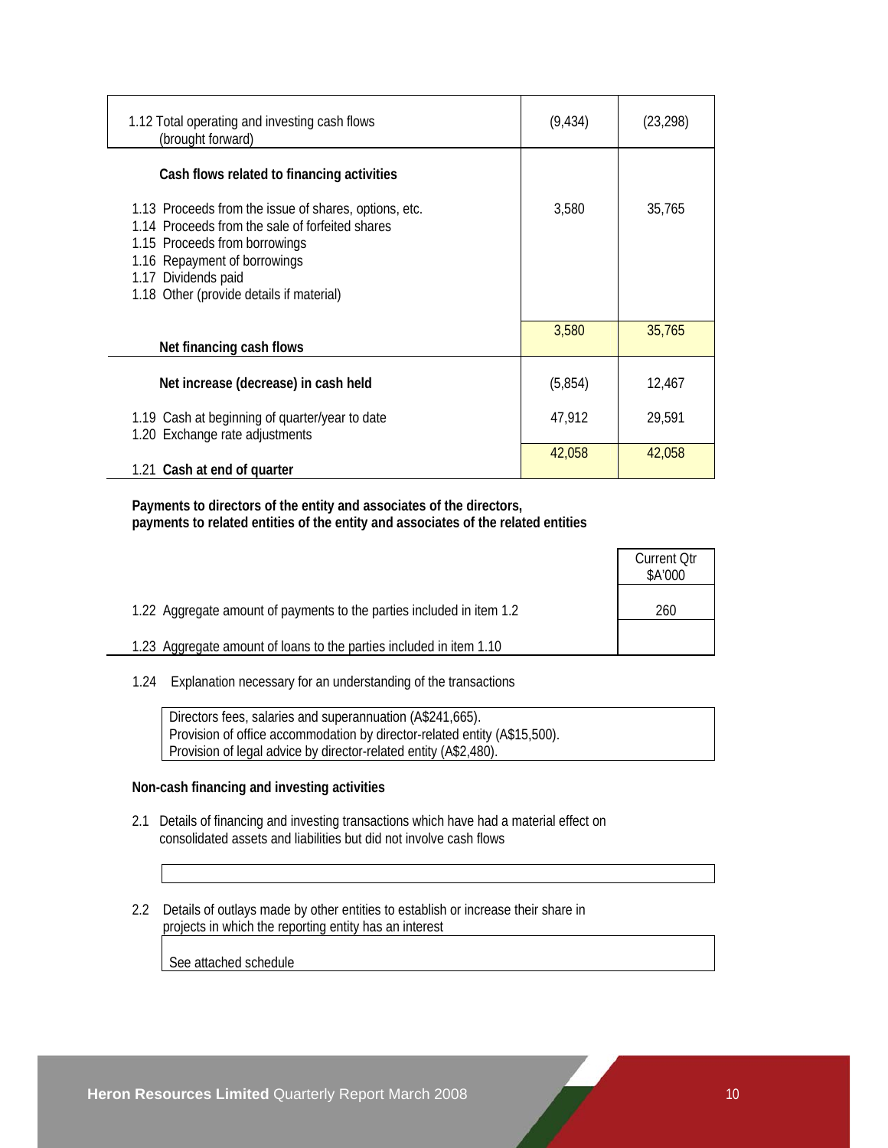| 1.12 Total operating and investing cash flows<br>(brought forward)                                                                                                                                                                           | (9, 434) | (23, 298) |
|----------------------------------------------------------------------------------------------------------------------------------------------------------------------------------------------------------------------------------------------|----------|-----------|
| Cash flows related to financing activities                                                                                                                                                                                                   |          |           |
| 1.13 Proceeds from the issue of shares, options, etc.<br>1.14 Proceeds from the sale of forfeited shares<br>1.15 Proceeds from borrowings<br>1.16 Repayment of borrowings<br>1.17 Dividends paid<br>1.18 Other (provide details if material) | 3,580    | 35,765    |
| Net financing cash flows                                                                                                                                                                                                                     | 3,580    | 35,765    |
| Net increase (decrease) in cash held                                                                                                                                                                                                         | (5,854)  | 12,467    |
| 1.19 Cash at beginning of quarter/year to date<br>1.20 Exchange rate adjustments                                                                                                                                                             | 47,912   | 29,591    |
| 1.21 Cash at end of quarter                                                                                                                                                                                                                  | 42,058   | 42.058    |

 **Payments to directors of the entity and associates of the directors, payments to related entities of the entity and associates of the related entities** 

|                                                                       | <b>Current Otr</b><br>\$A'000 |
|-----------------------------------------------------------------------|-------------------------------|
| 1.22 Aggregate amount of payments to the parties included in item 1.2 | 260                           |
| 1.23 Aggregate amount of loans to the parties included in item 1.10   |                               |

1.24 Explanation necessary for an understanding of the transactions

 Directors fees, salaries and superannuation (A\$241,665). Provision of office accommodation by director-related entity (A\$15,500). Provision of legal advice by director-related entity (A\$2,480).

### **Non-cash financing and investing activities**

- 2.1 Details of financing and investing transactions which have had a material effect on consolidated assets and liabilities but did not involve cash flows
- 2.2 Details of outlays made by other entities to establish or increase their share in projects in which the reporting entity has an interest

See attached schedule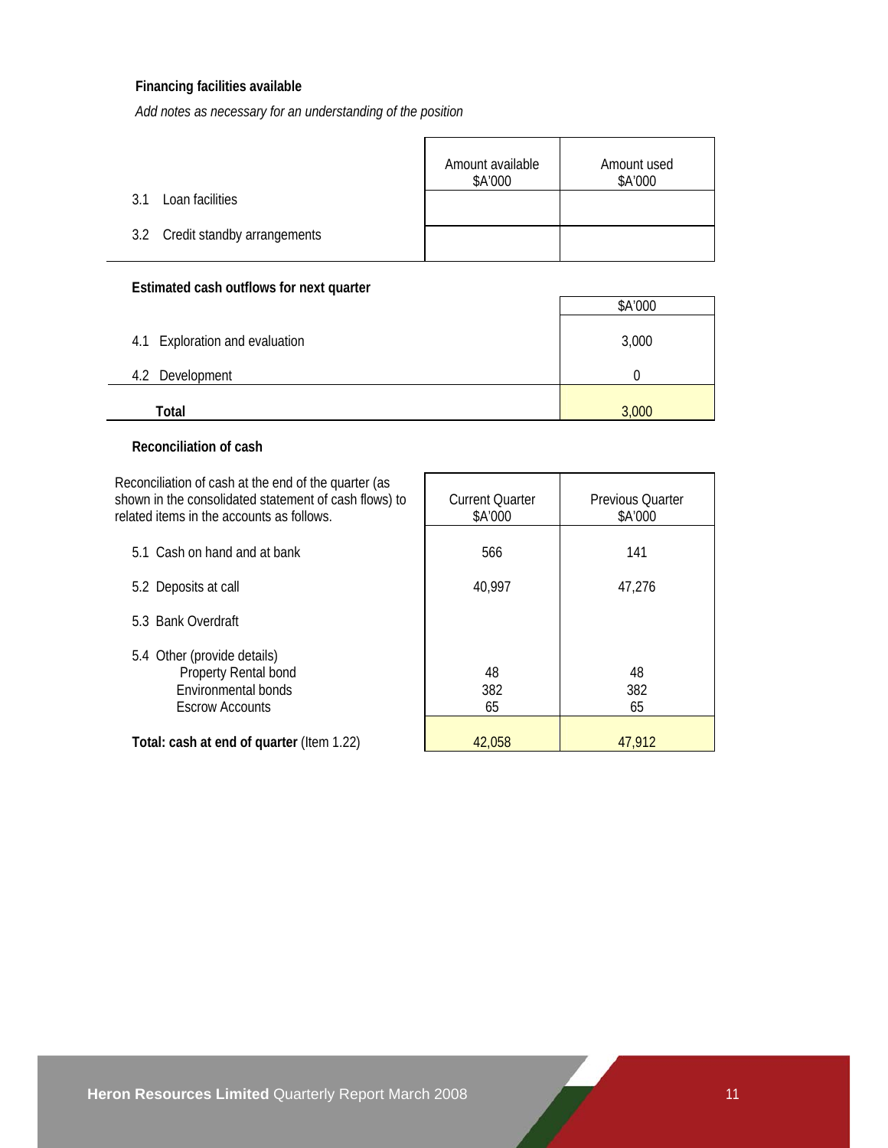## **Financing facilities available**

*Add notes as necessary for an understanding of the position*

|                                 | Amount available<br>\$A'000 | Amount used<br>\$A'000 |
|---------------------------------|-----------------------------|------------------------|
| Loan facilities<br>3 1          |                             |                        |
| 3.2 Credit standby arrangements |                             |                        |

# **Estimated cash outflows for next quarter**

|                                | \$A'000 |
|--------------------------------|---------|
| 4.1 Exploration and evaluation | 3,000   |
| Development<br>4.2             |         |
| Total                          | 3,000   |

## **Reconciliation of cash**

Reconciliation of cash at the end of the quarter (as shown in the consolidated statement of cash flows) to related items in the

| related items in the accounts as follows.                                                            | \$A'000         | \$A'000         |
|------------------------------------------------------------------------------------------------------|-----------------|-----------------|
| 5.1 Cash on hand and at bank                                                                         | 566             | 141             |
| 5.2 Deposits at call                                                                                 | 40,997          | 47,276          |
| 5.3 Bank Overdraft                                                                                   |                 |                 |
| 5.4 Other (provide details)<br>Property Rental bond<br>Environmental bonds<br><b>Escrow Accounts</b> | 48<br>382<br>65 | 48<br>382<br>65 |
| Total: cash at end of quarter (Item 1.22)                                                            | 42.058          | 47.912          |

Current Quarter

Previous Quarter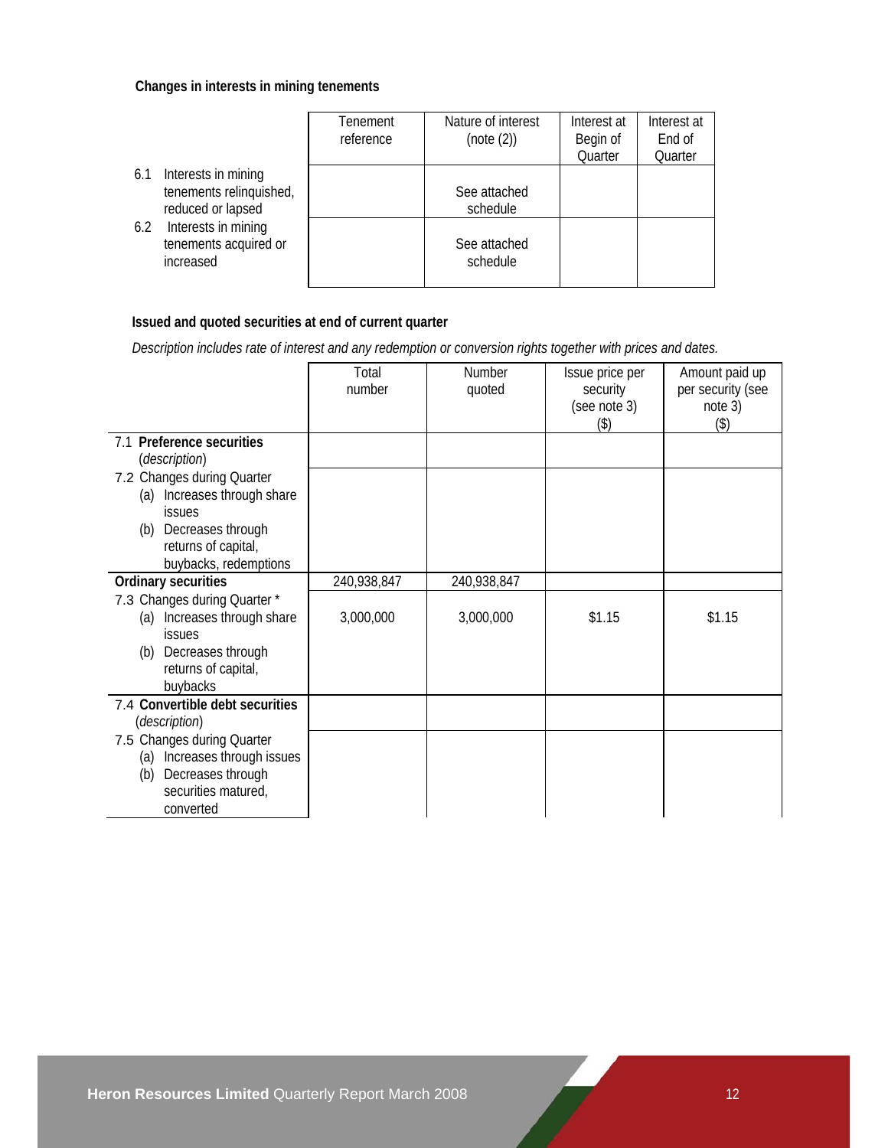## **Changes in interests in mining tenements**

|                                                                            | Tenement<br>reference | Nature of interest<br>(note (2)) | Interest at<br>Begin of<br>Quarter | Interest at<br>End of<br>Quarter |
|----------------------------------------------------------------------------|-----------------------|----------------------------------|------------------------------------|----------------------------------|
| Interests in mining<br>6.1<br>tenements relinquished,<br>reduced or lapsed |                       | See attached<br>schedule         |                                    |                                  |
| Interests in mining<br>6.2<br>tenements acquired or<br>increased           |                       | See attached<br>schedule         |                                    |                                  |

# **Issued and quoted securities at end of current quarter**

 *Description includes rate of interest and any redemption or conversion rights together with prices and dates.* 

|                                                                                                                                          | Total<br>number | Number<br>quoted | Issue price per<br>security | Amount paid up<br>per security (see |
|------------------------------------------------------------------------------------------------------------------------------------------|-----------------|------------------|-----------------------------|-------------------------------------|
|                                                                                                                                          |                 |                  | (see note 3)<br>(3)         | note 3)<br>(3)                      |
| 7.1 Preference securities<br>(description)                                                                                               |                 |                  |                             |                                     |
| 7.2 Changes during Quarter<br>(a) Increases through share<br><b>issues</b>                                                               |                 |                  |                             |                                     |
| (b) Decreases through<br>returns of capital,<br>buybacks, redemptions                                                                    |                 |                  |                             |                                     |
| <b>Ordinary securities</b>                                                                                                               | 240,938,847     | 240,938,847      |                             |                                     |
| 7.3 Changes during Quarter *<br>(a) Increases through share<br><b>issues</b><br>(b) Decreases through<br>returns of capital,<br>buybacks | 3,000,000       | 3,000,000        | \$1.15                      | \$1.15                              |
| 7.4 Convertible debt securities<br>(description)                                                                                         |                 |                  |                             |                                     |
| 7.5 Changes during Quarter<br>(a) Increases through issues<br>Decreases through<br>(b)<br>securities matured,<br>converted               |                 |                  |                             |                                     |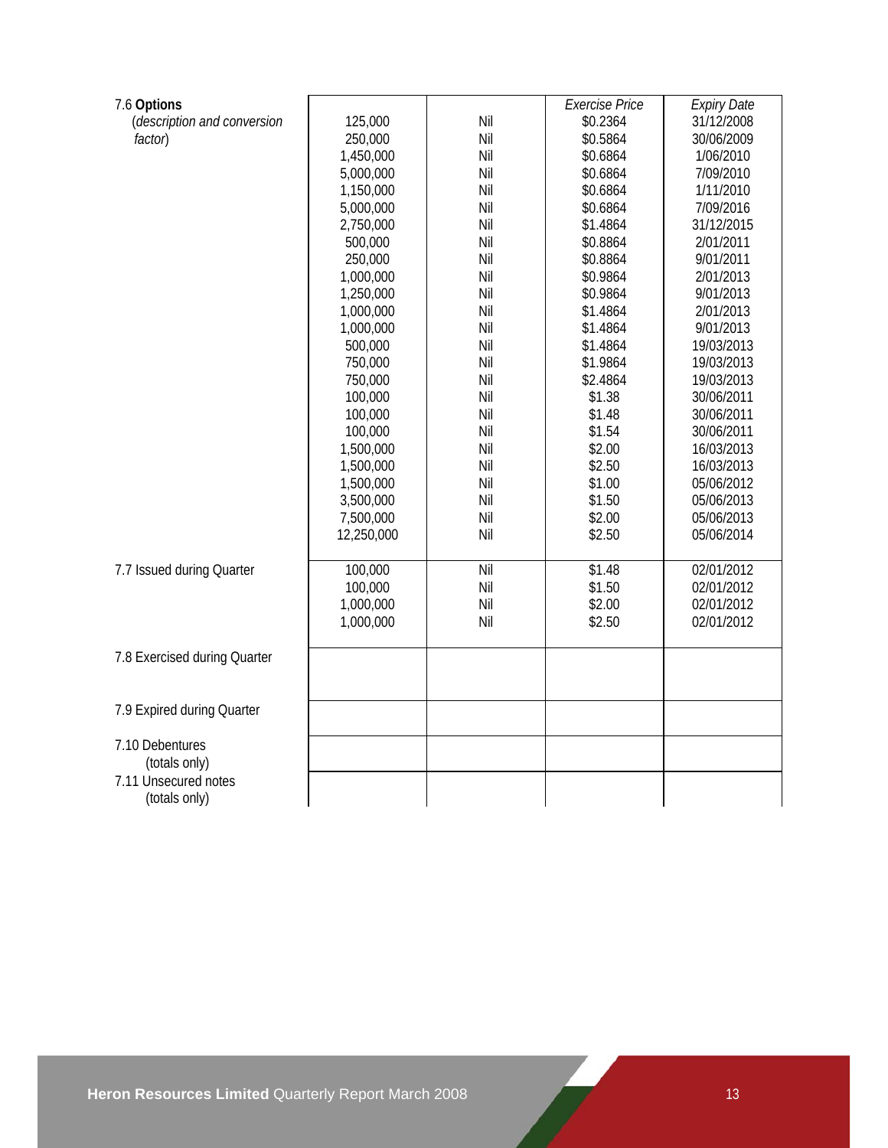| 7.6 Options                  |            |     | <b>Exercise Price</b> | <b>Expiry Date</b> |
|------------------------------|------------|-----|-----------------------|--------------------|
| (description and conversion  | 125,000    | Nil | \$0.2364              | 31/12/2008         |
| factor)                      | 250,000    | Nil | \$0.5864              | 30/06/2009         |
|                              | 1,450,000  | Nil | \$0.6864              | 1/06/2010          |
|                              | 5,000,000  | Nil | \$0.6864              | 7/09/2010          |
|                              | 1,150,000  | Nil | \$0.6864              | 1/11/2010          |
|                              | 5,000,000  | Nil | \$0.6864              | 7/09/2016          |
|                              | 2,750,000  | Nil | \$1.4864              | 31/12/2015         |
|                              | 500,000    | Nil | \$0.8864              | 2/01/2011          |
|                              | 250,000    | Nil | \$0.8864              | 9/01/2011          |
|                              | 1,000,000  | Nil | \$0.9864              | 2/01/2013          |
|                              | 1,250,000  | Nil | \$0.9864              | 9/01/2013          |
|                              | 1,000,000  | Nil | \$1.4864              | 2/01/2013          |
|                              | 1,000,000  | Nil | \$1.4864              | 9/01/2013          |
|                              | 500,000    | Nil | \$1.4864              | 19/03/2013         |
|                              | 750,000    | Nil | \$1.9864              | 19/03/2013         |
|                              | 750,000    | Nil | \$2.4864              | 19/03/2013         |
|                              | 100,000    | Nil | \$1.38                | 30/06/2011         |
|                              | 100,000    | Nil | \$1.48                | 30/06/2011         |
|                              | 100,000    | Nil | \$1.54                | 30/06/2011         |
|                              | 1,500,000  | Nil | \$2.00                | 16/03/2013         |
|                              | 1,500,000  | Nil | \$2.50                | 16/03/2013         |
|                              | 1,500,000  | Nil | \$1.00                | 05/06/2012         |
|                              | 3,500,000  | Nil | \$1.50                | 05/06/2013         |
|                              | 7,500,000  | Nil | \$2.00                | 05/06/2013         |
|                              | 12,250,000 | Nil | \$2.50                | 05/06/2014         |
|                              |            |     |                       |                    |
| 7.7 Issued during Quarter    | 100,000    | Nil | \$1.48                | 02/01/2012         |
|                              | 100,000    | Nil | \$1.50                | 02/01/2012         |
|                              | 1,000,000  | Nil | \$2.00                | 02/01/2012         |
|                              | 1,000,000  | Nil | \$2.50                | 02/01/2012         |
|                              |            |     |                       |                    |
| 7.8 Exercised during Quarter |            |     |                       |                    |
|                              |            |     |                       |                    |
|                              |            |     |                       |                    |
| 7.9 Expired during Quarter   |            |     |                       |                    |
|                              |            |     |                       |                    |
| 7.10 Debentures              |            |     |                       |                    |
| (totals only)                |            |     |                       |                    |
| 7.11 Unsecured notes         |            |     |                       |                    |
| (totals only)                |            |     |                       |                    |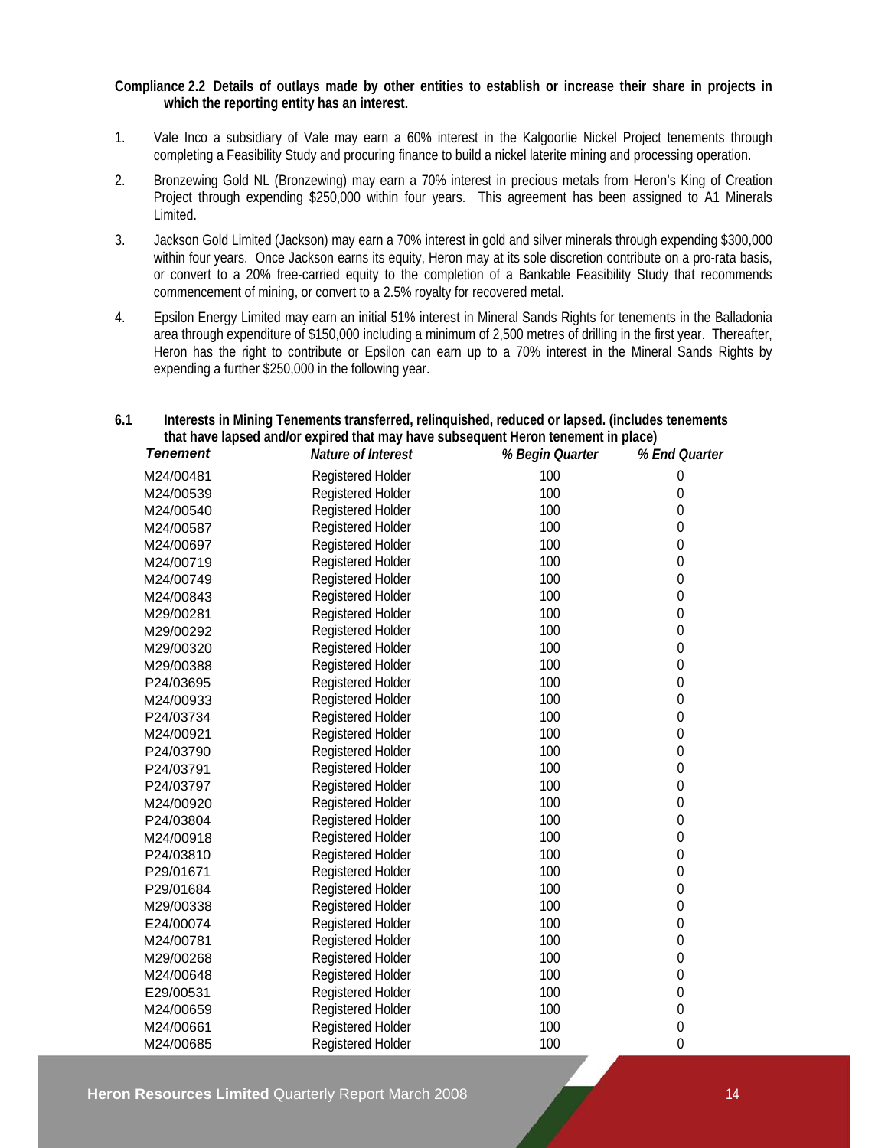### **Compliance 2.2 Details of outlays made by other entities to establish or increase their share in projects in which the reporting entity has an interest.**

- 1. Vale Inco a subsidiary of Vale may earn a 60% interest in the Kalgoorlie Nickel Project tenements through completing a Feasibility Study and procuring finance to build a nickel laterite mining and processing operation.
- 2. Bronzewing Gold NL (Bronzewing) may earn a 70% interest in precious metals from Heron's King of Creation Project through expending \$250,000 within four years. This agreement has been assigned to A1 Minerals Limited.
- 3. Jackson Gold Limited (Jackson) may earn a 70% interest in gold and silver minerals through expending \$300,000 within four years. Once Jackson earns its equity, Heron may at its sole discretion contribute on a pro-rata basis, or convert to a 20% free-carried equity to the completion of a Bankable Feasibility Study that recommends commencement of mining, or convert to a 2.5% royalty for recovered metal.
- 4. Epsilon Energy Limited may earn an initial 51% interest in Mineral Sands Rights for tenements in the Balladonia area through expenditure of \$150,000 including a minimum of 2,500 metres of drilling in the first year. Thereafter, Heron has the right to contribute or Epsilon can earn up to a 70% interest in the Mineral Sands Rights by expending a further \$250,000 in the following year.

| that have lapsed and/or expired that may have subsequent Heron tenement in place) |                          |                 |                  |  |
|-----------------------------------------------------------------------------------|--------------------------|-----------------|------------------|--|
| <b>Tenement</b>                                                                   | Nature of Interest       | % Begin Quarter | % End Quarter    |  |
| M24/00481                                                                         | <b>Registered Holder</b> | 100             | 0                |  |
| M24/00539                                                                         | Registered Holder        | 100             | $\boldsymbol{0}$ |  |
| M24/00540                                                                         | Registered Holder        | 100             | $\overline{0}$   |  |
| M24/00587                                                                         | Registered Holder        | 100             | $\theta$         |  |
| M24/00697                                                                         | Registered Holder        | 100             | $\boldsymbol{0}$ |  |
| M24/00719                                                                         | Registered Holder        | 100             | $\boldsymbol{0}$ |  |
| M24/00749                                                                         | Registered Holder        | 100             | $\boldsymbol{0}$ |  |
| M24/00843                                                                         | Registered Holder        | 100             | $\mathbf{0}$     |  |
| M29/00281                                                                         | Registered Holder        | 100             | $\boldsymbol{0}$ |  |
| M29/00292                                                                         | Registered Holder        | 100             | $\boldsymbol{0}$ |  |
| M29/00320                                                                         | Registered Holder        | 100             | $\boldsymbol{0}$ |  |
| M29/00388                                                                         | Registered Holder        | 100             | $\boldsymbol{0}$ |  |
| P24/03695                                                                         | Registered Holder        | 100             | $\boldsymbol{0}$ |  |
| M24/00933                                                                         | Registered Holder        | 100             | $\mathbf 0$      |  |
| P24/03734                                                                         | Registered Holder        | 100             | $\mathbf 0$      |  |
| M24/00921                                                                         | Registered Holder        | 100             | $\mathbf{0}$     |  |
| P24/03790                                                                         | <b>Registered Holder</b> | 100             | $\boldsymbol{0}$ |  |
| P24/03791                                                                         | Registered Holder        | 100             | $\boldsymbol{0}$ |  |
| P24/03797                                                                         | Registered Holder        | 100             | $\boldsymbol{0}$ |  |
| M24/00920                                                                         | Registered Holder        | 100             | $\boldsymbol{0}$ |  |
| P24/03804                                                                         | <b>Registered Holder</b> | 100             | $\boldsymbol{0}$ |  |
| M24/00918                                                                         | Registered Holder        | 100             | $\boldsymbol{0}$ |  |
| P24/03810                                                                         | Registered Holder        | 100             | $\boldsymbol{0}$ |  |
| P29/01671                                                                         | <b>Registered Holder</b> | 100             | $\mathbf 0$      |  |
| P29/01684                                                                         | <b>Registered Holder</b> | 100             | $\boldsymbol{0}$ |  |
| M29/00338                                                                         | Registered Holder        | 100             | $\mathbf 0$      |  |
| E24/00074                                                                         | Registered Holder        | 100             | $\mathbf 0$      |  |
| M24/00781                                                                         | Registered Holder        | 100             | $\mathbf{0}$     |  |
| M29/00268                                                                         | <b>Registered Holder</b> | 100             | $\mathbf{0}$     |  |
| M24/00648                                                                         | Registered Holder        | 100             | $\boldsymbol{0}$ |  |
| E29/00531                                                                         | Registered Holder        | 100             | $\boldsymbol{0}$ |  |
| M24/00659                                                                         | Registered Holder        | 100             | $\boldsymbol{0}$ |  |
| M24/00661                                                                         | <b>Registered Holder</b> | 100             | $\boldsymbol{0}$ |  |
| M24/00685                                                                         | <b>Registered Holder</b> | 100             | $\overline{0}$   |  |

## **6.1 Interests in Mining Tenements transferred, relinquished, reduced or lapsed. (includes tenements that have lapsed and/or expired that may have subsequent Heron tenement in place)**

**Heron Resources Limited Quarterly Report March 2008 14** 14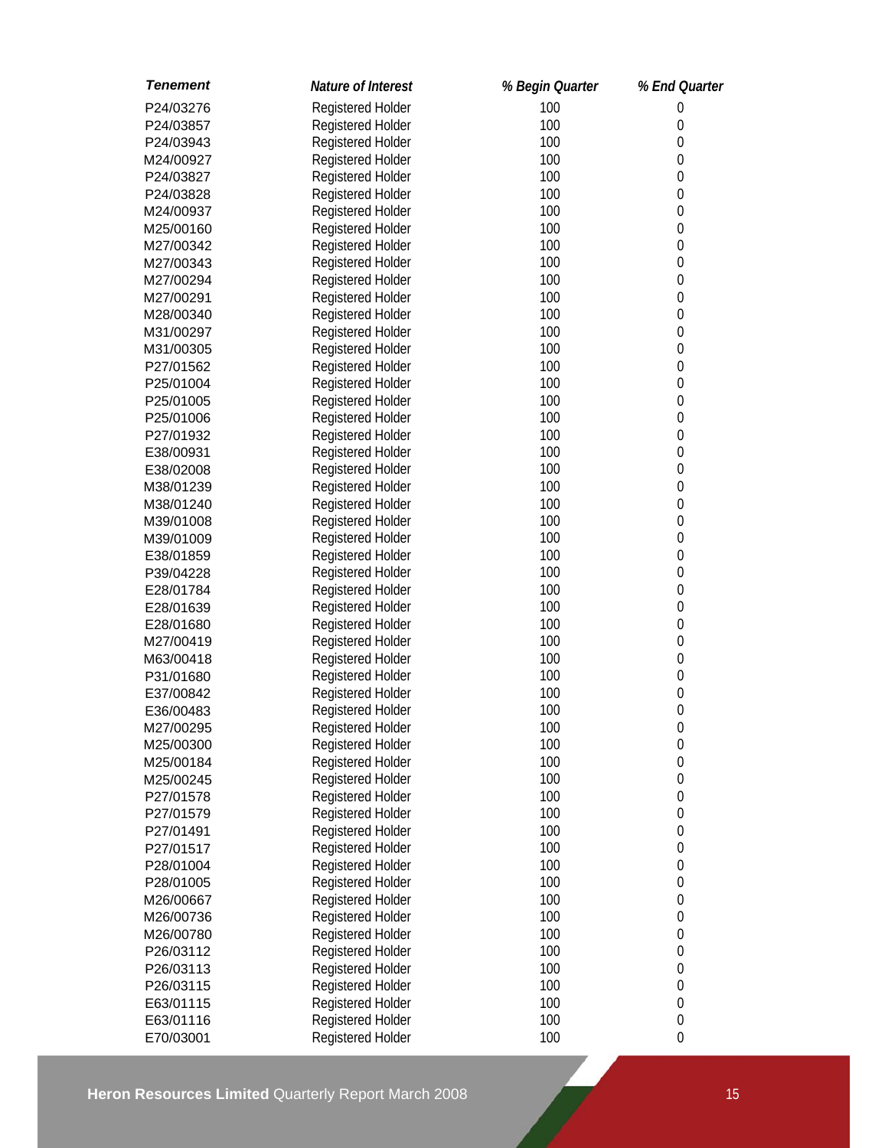| <b>Tenement</b> | Nature of Interest | % Begin Quarter | % End Quarter    |
|-----------------|--------------------|-----------------|------------------|
| P24/03276       | Registered Holder  | 100             | $\mathbf 0$      |
| P24/03857       | Registered Holder  | 100             | 0                |
| P24/03943       | Registered Holder  | 100             | $\mathbf 0$      |
| M24/00927       | Registered Holder  | 100             | $\mathbf 0$      |
| P24/03827       | Registered Holder  | 100             | $\mathbf 0$      |
| P24/03828       | Registered Holder  | 100             | $\mathbf 0$      |
| M24/00937       | Registered Holder  | 100             | $\mathbf 0$      |
| M25/00160       | Registered Holder  | 100             | $\mathbf 0$      |
| M27/00342       | Registered Holder  | 100             | $\mathbf 0$      |
| M27/00343       | Registered Holder  | 100             | $\mathbf 0$      |
| M27/00294       | Registered Holder  | 100             | $\mathbf 0$      |
| M27/00291       | Registered Holder  | 100             | $\mathbf 0$      |
| M28/00340       | Registered Holder  | 100             | $\mathbf 0$      |
| M31/00297       | Registered Holder  | 100             | $\mathbf 0$      |
| M31/00305       | Registered Holder  | 100             | $\mathbf 0$      |
| P27/01562       | Registered Holder  | 100             | $\mathbf 0$      |
| P25/01004       | Registered Holder  | 100             | $\mathbf 0$      |
| P25/01005       | Registered Holder  | 100             | 0                |
| P25/01006       | Registered Holder  | 100             | $\mathbf 0$      |
| P27/01932       | Registered Holder  | 100             | 0                |
| E38/00931       | Registered Holder  | 100             | $\boldsymbol{0}$ |
| E38/02008       | Registered Holder  | 100             | $\mathbf 0$      |
| M38/01239       | Registered Holder  | 100             | $\boldsymbol{0}$ |
| M38/01240       | Registered Holder  | 100             | $\boldsymbol{0}$ |
| M39/01008       | Registered Holder  | 100             | $\boldsymbol{0}$ |
| M39/01009       | Registered Holder  | 100             | $\boldsymbol{0}$ |
| E38/01859       | Registered Holder  | 100             | $\mathbf 0$      |
| P39/04228       | Registered Holder  | 100             | $\mathbf 0$      |
| E28/01784       | Registered Holder  | 100             | $\mathbf 0$      |
| E28/01639       | Registered Holder  | 100             | $\mathbf 0$      |
| E28/01680       | Registered Holder  | 100             | $\mathbf 0$      |
| M27/00419       | Registered Holder  | 100             | $\mathbf 0$      |
| M63/00418       | Registered Holder  | 100             | $\mathbf 0$      |
| P31/01680       | Registered Holder  | 100             | $\mathbf 0$      |
| E37/00842       | Registered Holder  | 100             | $\boldsymbol{0}$ |
| E36/00483       | Registered Holder  | 100             | $\mathbf 0$      |
| M27/00295       | Registered Holder  | 100             | $\boldsymbol{0}$ |
| M25/00300       | Registered Holder  | 100             | $\boldsymbol{0}$ |
| M25/00184       | Registered Holder  | 100             | $\mathbf 0$      |
| M25/00245       | Registered Holder  | 100             | $\mathbf 0$      |
| P27/01578       | Registered Holder  | 100             | $\boldsymbol{0}$ |
| P27/01579       | Registered Holder  | 100             | $\boldsymbol{0}$ |
| P27/01491       | Registered Holder  | 100             | $\mathbf 0$      |
| P27/01517       | Registered Holder  | 100             | $\boldsymbol{0}$ |
| P28/01004       | Registered Holder  | 100             | $\boldsymbol{0}$ |
| P28/01005       | Registered Holder  | 100             | $\boldsymbol{0}$ |
| M26/00667       | Registered Holder  | 100             | $\mathbf 0$      |
| M26/00736       | Registered Holder  | 100             | $\mathbf 0$      |
|                 |                    | 100             |                  |
| M26/00780       | Registered Holder  |                 | $\mathbf 0$      |
| P26/03112       | Registered Holder  | 100             | $\mathbf 0$      |
| P26/03113       | Registered Holder  | 100             | $\boldsymbol{0}$ |
| P26/03115       | Registered Holder  | 100             | $\mathbf 0$      |
| E63/01115       | Registered Holder  | 100             | $\boldsymbol{0}$ |
| E63/01116       | Registered Holder  | 100             | $\boldsymbol{0}$ |
| E70/03001       | Registered Holder  | 100             | $\mathbf 0$      |

**Heron Resources Limited** Quarterly Report March 2008 15 15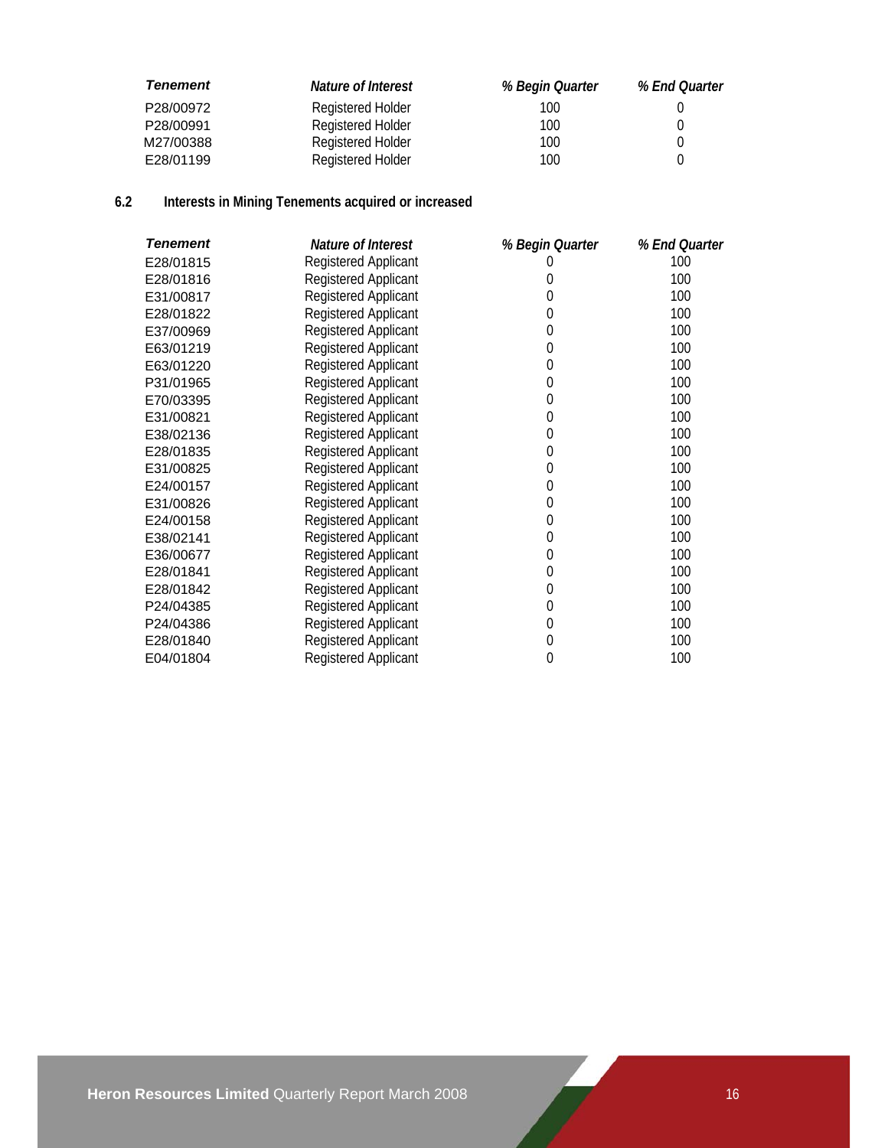| <b>Tenement</b> | Nature of Interest | % Begin Quarter | % End Quarter |
|-----------------|--------------------|-----------------|---------------|
| P28/00972       | Registered Holder  | 100             |               |
| P28/00991       | Registered Holder  | 100             |               |
| M27/00388       | Registered Holder  | 100             |               |
| E28/01199       | Registered Holder  | 100             |               |

# **6.2 Interests in Mining Tenements acquired or increased**

| <b>Tenement</b> | Nature of Interest          | % Begin Quarter  | % End Quarter |
|-----------------|-----------------------------|------------------|---------------|
| E28/01815       | <b>Registered Applicant</b> |                  | 100           |
| E28/01816       | <b>Registered Applicant</b> | 0                | 100           |
| E31/00817       | <b>Registered Applicant</b> | 0                | 100           |
| E28/01822       | Registered Applicant        | 0                | 100           |
| E37/00969       | Registered Applicant        | 0                | 100           |
| E63/01219       | Registered Applicant        | $\pmb{0}$        | 100           |
| E63/01220       | Registered Applicant        | $\pmb{0}$        | 100           |
| P31/01965       | <b>Registered Applicant</b> | $\mathbf 0$      | 100           |
| E70/03395       | <b>Registered Applicant</b> | $\mathbf 0$      | 100           |
| E31/00821       | <b>Registered Applicant</b> | $\mathbf 0$      | 100           |
| E38/02136       | Registered Applicant        | $\mathbf 0$      | 100           |
| E28/01835       | <b>Registered Applicant</b> | $\pmb{0}$        | 100           |
| E31/00825       | <b>Registered Applicant</b> | $\mathbf 0$      | 100           |
| E24/00157       | Registered Applicant        | $\mathbf 0$      | 100           |
| E31/00826       | Registered Applicant        | $\mathbf 0$      | 100           |
| E24/00158       | <b>Registered Applicant</b> | $\mathbf{0}$     | 100           |
| E38/02141       | Registered Applicant        | $\mathbf{0}$     | 100           |
| E36/00677       | Registered Applicant        | $\mathbf 0$      | 100           |
| E28/01841       | <b>Registered Applicant</b> | $\boldsymbol{0}$ | 100           |
| E28/01842       | <b>Registered Applicant</b> | $\boldsymbol{0}$ | 100           |
| P24/04385       | <b>Registered Applicant</b> | $\boldsymbol{0}$ | 100           |
| P24/04386       | <b>Registered Applicant</b> | $\mathbf{0}$     | 100           |
| E28/01840       | Registered Applicant        | $\mathbf 0$      | 100           |
| E04/01804       | <b>Registered Applicant</b> | 0                | 100           |